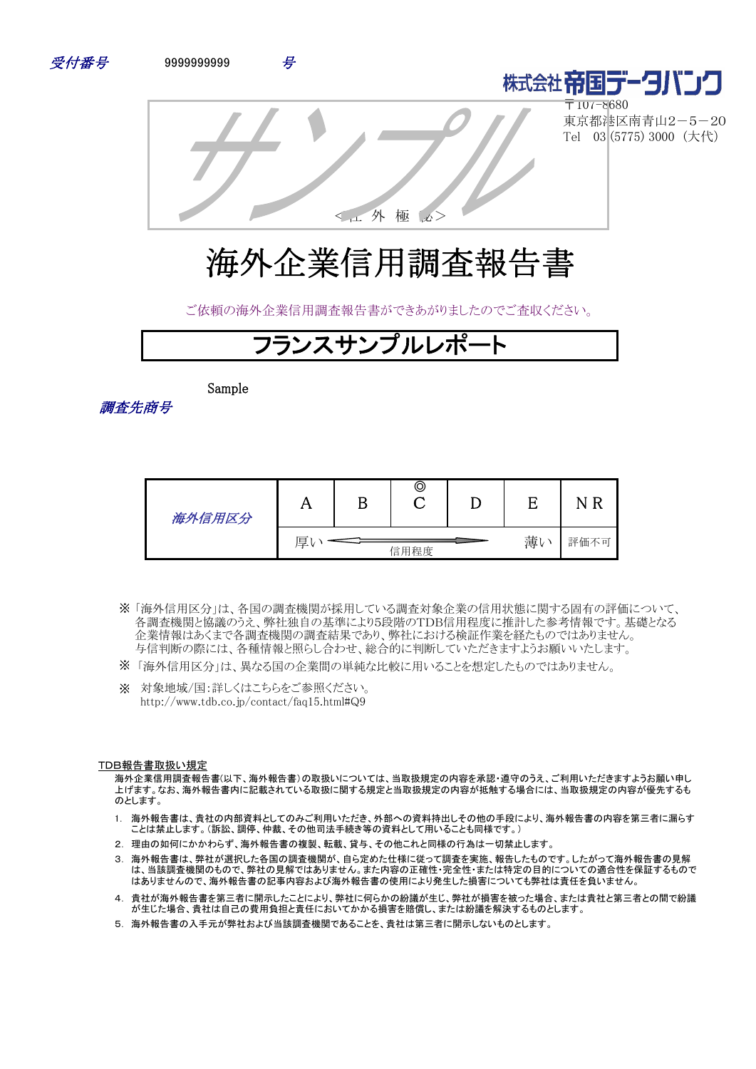



〒107-8680 東京都港区南青山2-5-20 Tel 03 (5775) 3000 (大代)

<社 外 極 秘>

# 海外企業信用調査報告書

ご依頼の海外企業信用調査報告書ができあがりましたのでご査収ください。



Sample

調査先商号

| 海外信用区分 | 4 Y | B | O    |    |          |
|--------|-----|---|------|----|----------|
|        | 厚   |   | 信用程度 | 薄い | 評価不<br>月 |

- 「海外信用区分」は、各国の調査機関が採用している調査対象企業の信用状態に関する固有の評価について、 ※ 各調査機関と協議のうえ、弊社独自の基準により5段階のTDB信用程度に推計した参考情報です。基礎となる 企業情報はあくまで各調査機関の調査結果であり、弊社における検証作業を経たものではありません。 与信判断の際には、各種情報と照らし合わせ、総合的に判断していただきますようお願いいたします。
- ※ 「海外信用区分」は、異なる国の企業間の単純な比較に用いることを想定したものではありません。
- ※ 対象地域/国:詳しくはこちらをご参照ください。 http://www.tdb.co.jp/contact/faq15.html#Q9

#### TDB報告書取扱い規定

海外企業信用調査報告書(以下、海外報告書)の取扱いについては、当取扱規定の内容を承認・遵守のうえ、ご利用いただきますようお願い申し 上げます。なお、海外報告書内に記載されている取扱に関する規定と当取扱規定の内容が抵触する場合には、当取扱規定の内容が優先するも のとします。

- 1. 海外報告書は、貴社の内部資料としてのみご利用いただき、外部への資料持出しその他の手段により、海外報告書の内容を第三者に漏らす ことは禁止します。(訴訟、調停、仲裁、その他司法手続き等の資料として用いることも同様です。)
- 2. 理由の如何にかかわらず、海外報告書の複製、転載、貸与、その他これと同様の行為は一切禁止します。
- 3. 海外報告書は、弊社が選択した各国の調査機関が、自ら定めた仕様に従って調査を実施、報告したものです。したがって海外報告書の見解 は、当該調査機関のもので、弊社の見解ではありません。また内容の正確性・完全性・または特定の目的についての適合性を保証するもので はありませんので、海外報告書の記事内容および海外報告書の使用により発生した損害についても弊社は責任を負いません。
- 4. 貴社が海外報告書を第三者に開示したことにより、弊社に何らかの紛議が生じ、弊社が損害を被った場合、または貴社と第三者との間で紛議 が生じた場合、貴社は自己の費用負担と責任においてかかる損害を賠償し、または紛議を解決するものとします。
- 5. 海外報告書の入手元が弊社および当該調査機関であることを、貴社は第三者に開示しないものとします。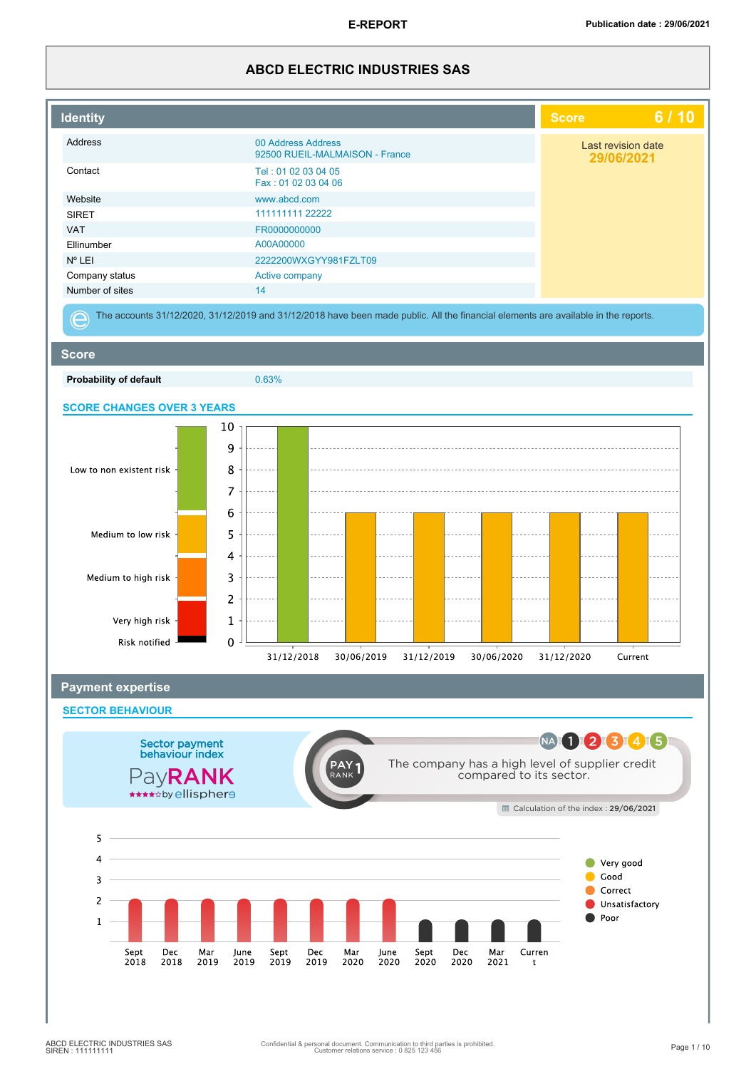## **ABCD ELECTRIC INDUSTRIES SAS**

| <b>Identity</b>                   |                                                                                                                                    | <b>Score</b>                         | 6/10                             |
|-----------------------------------|------------------------------------------------------------------------------------------------------------------------------------|--------------------------------------|----------------------------------|
| Address                           | 00 Address Address<br>92500 RUEIL-MALMAISON - France                                                                               |                                      | Last revision date<br>29/06/2021 |
| Contact                           | Tel: 01 02 03 04 05<br>Fax: 01 02 03 04 06                                                                                         |                                      |                                  |
| Website                           | www.abcd.com                                                                                                                       |                                      |                                  |
| <b>SIRET</b>                      | 111111111 22222                                                                                                                    |                                      |                                  |
| <b>VAT</b>                        | FR0000000000                                                                                                                       |                                      |                                  |
| Ellinumber                        | A00A00000                                                                                                                          |                                      |                                  |
| Nº LEI                            | 2222200WXGYY981FZLT09                                                                                                              |                                      |                                  |
|                                   |                                                                                                                                    |                                      |                                  |
| Company status                    | Active company                                                                                                                     |                                      |                                  |
| Number of sites                   | 14                                                                                                                                 |                                      |                                  |
|                                   | The accounts 31/12/2020, 31/12/2019 and 31/12/2018 have been made public. All the financial elements are available in the reports. |                                      |                                  |
| <b>Score</b>                      |                                                                                                                                    |                                      |                                  |
| Probability of default            | 0.63%                                                                                                                              |                                      |                                  |
| <b>SCORE CHANGES OVER 3 YEARS</b> |                                                                                                                                    |                                      |                                  |
|                                   | 10                                                                                                                                 |                                      |                                  |
|                                   |                                                                                                                                    |                                      |                                  |
|                                   | 9                                                                                                                                  |                                      |                                  |
| Low to non existent risk          | 8                                                                                                                                  |                                      |                                  |
|                                   | 7                                                                                                                                  |                                      |                                  |
|                                   |                                                                                                                                    |                                      |                                  |
|                                   | 6                                                                                                                                  |                                      |                                  |
| Medium to low risk                | 5                                                                                                                                  |                                      |                                  |
|                                   |                                                                                                                                    |                                      |                                  |
|                                   | 4                                                                                                                                  |                                      |                                  |
| Medium to high risk               | 3                                                                                                                                  |                                      |                                  |
|                                   |                                                                                                                                    |                                      |                                  |
|                                   | $\overline{\mathbf{c}}$                                                                                                            |                                      |                                  |
| Very high risk                    | 1                                                                                                                                  |                                      |                                  |
|                                   |                                                                                                                                    |                                      |                                  |
| Risk notified                     | $\mathbf 0$                                                                                                                        |                                      |                                  |
|                                   | 31/12/2018<br>30/06/2019<br>31/12/2019<br>30/06/2020                                                                               | 31/12/2020                           | Current                          |
| <b>Payment expertise</b>          |                                                                                                                                    |                                      |                                  |
| <b>SECTOR BEHAVIOUR</b>           |                                                                                                                                    |                                      |                                  |
|                                   |                                                                                                                                    | NA 1 2 3 4 5                         |                                  |
| Sector payment<br>behaviour index |                                                                                                                                    |                                      |                                  |
|                                   | The company has a high level of supplier credit<br><b>PAY</b>                                                                      |                                      |                                  |
| PayRANK                           | compared to its sector.<br>RANK                                                                                                    |                                      |                                  |
| *****by ellispher9                |                                                                                                                                    |                                      |                                  |
|                                   |                                                                                                                                    | Calculation of the index: 29/06/2021 |                                  |
|                                   |                                                                                                                                    |                                      |                                  |
| 5                                 |                                                                                                                                    |                                      |                                  |
| 4                                 |                                                                                                                                    |                                      | Very good                        |
| 3                                 |                                                                                                                                    |                                      | Good                             |
|                                   |                                                                                                                                    |                                      | Correct                          |
| 2                                 |                                                                                                                                    |                                      | Unsatisfactory                   |
| $\mathbf{1}$                      |                                                                                                                                    |                                      | Poor                             |
|                                   |                                                                                                                                    |                                      |                                  |
| Sept<br>Dec                       | Mar<br>Dec<br>Mar<br>Sept<br>Dec<br>Curren<br>Mar<br>June<br>Sept<br>June                                                          |                                      |                                  |
| 2018<br>2018                      | 2019<br>2019<br>2019<br>2019<br>2020<br>2020<br>2020<br>2020<br>2021<br>t                                                          |                                      |                                  |
|                                   |                                                                                                                                    |                                      |                                  |
|                                   |                                                                                                                                    |                                      |                                  |
|                                   |                                                                                                                                    |                                      |                                  |
|                                   |                                                                                                                                    |                                      |                                  |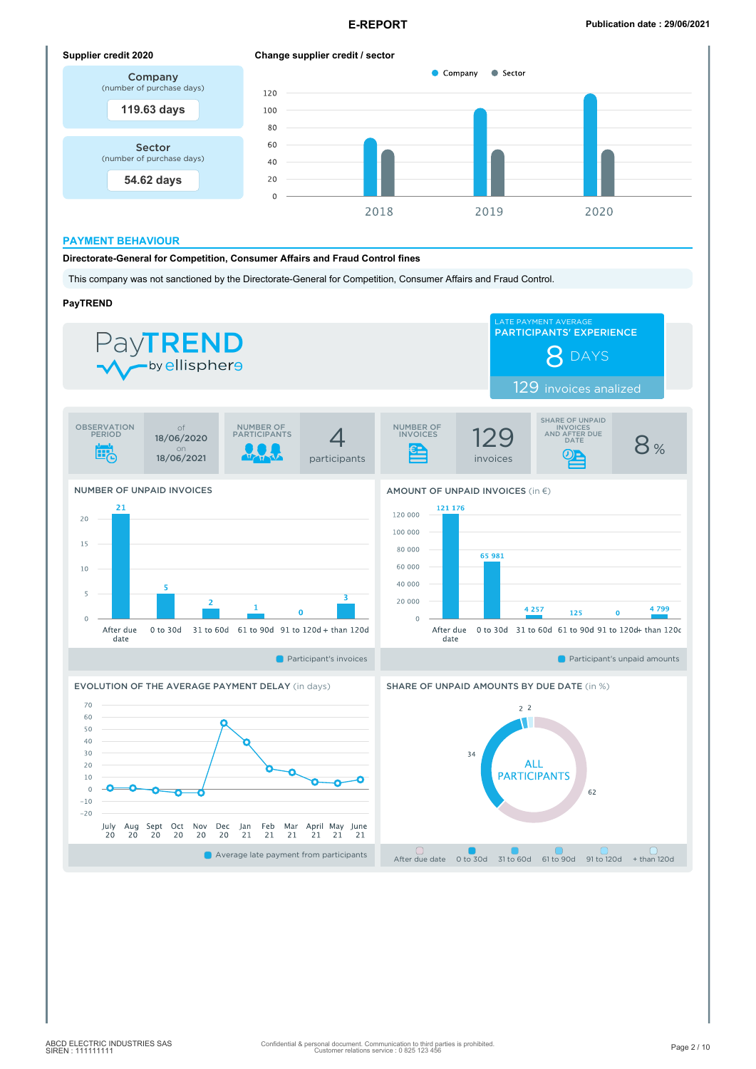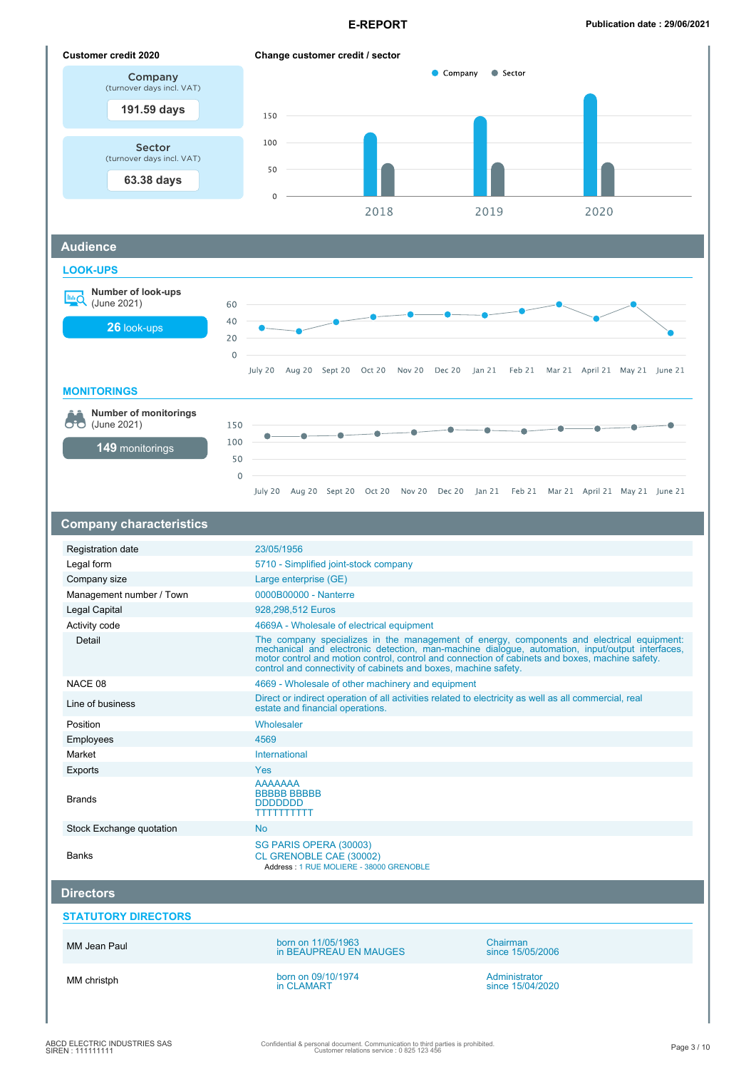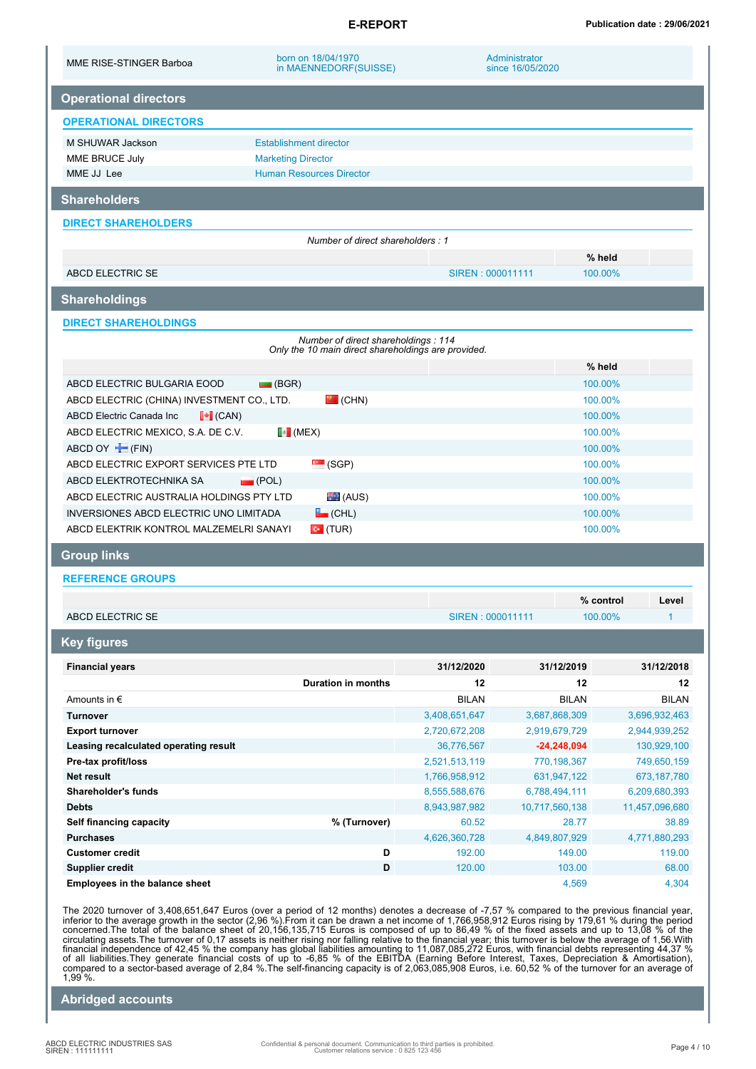| MME RISE-STINGER Barboa                                      | born on 18/04/1970<br>in MAENNEDORF(SUISSE)                                                |                             | Administrator<br>since 16/05/2020 |                            |
|--------------------------------------------------------------|--------------------------------------------------------------------------------------------|-----------------------------|-----------------------------------|----------------------------|
| <b>Operational directors</b>                                 |                                                                                            |                             |                                   |                            |
| <b>OPERATIONAL DIRECTORS</b>                                 |                                                                                            |                             |                                   |                            |
| M SHUWAR Jackson                                             | <b>Establishment director</b>                                                              |                             |                                   |                            |
| MME BRUCE July                                               | <b>Marketing Director</b>                                                                  |                             |                                   |                            |
| MME JJ Lee                                                   | <b>Human Resources Director</b>                                                            |                             |                                   |                            |
| <b>Shareholders</b>                                          |                                                                                            |                             |                                   |                            |
| <b>DIRECT SHAREHOLDERS</b>                                   |                                                                                            |                             |                                   |                            |
|                                                              | Number of direct shareholders: 1                                                           |                             |                                   |                            |
|                                                              |                                                                                            |                             |                                   | % held                     |
| ABCD ELECTRIC SE                                             |                                                                                            | SIREN : 000011111           |                                   | 100.00%                    |
| <b>Shareholdings</b>                                         |                                                                                            |                             |                                   |                            |
| <b>DIRECT SHAREHOLDINGS</b>                                  |                                                                                            |                             |                                   |                            |
|                                                              | Number of direct shareholdings: 114<br>Only the 10 main direct shareholdings are provided. |                             |                                   |                            |
|                                                              |                                                                                            |                             |                                   | % held                     |
| ABCD ELECTRIC BULGARIA EOOD                                  | $\Box$ (BGR)                                                                               |                             |                                   | 100.00%                    |
| ABCD ELECTRIC (CHINA) INVESTMENT CO., LTD.                   | $\mathbf{P}$ (CHN)                                                                         |                             |                                   | 100.00%                    |
| $\left\  \bullet \right\ $ (CAN)<br>ABCD Electric Canada Inc |                                                                                            |                             |                                   | 100.00%                    |
| ABCD ELECTRIC MEXICO, S.A. DE C.V.                           | $\left\lfloor \cdot \right\rfloor$ (MEX)                                                   |                             |                                   | 100.00%                    |
| ABCD OY <b>F</b> (FIN)                                       |                                                                                            | 100.00%                     |                                   |                            |
| ABCD ELECTRIC EXPORT SERVICES PTE LTD                        | $\sim$ (SGP)                                                                               | 100.00%                     |                                   |                            |
| ABCD ELEKTROTECHNIKA SA                                      | $\Box$ (POL)                                                                               |                             |                                   | 100.00%                    |
| ABCD ELECTRIC AUSTRALIA HOLDINGS PTY LTD                     | (AUS)                                                                                      |                             |                                   | 100.00%                    |
| INVERSIONES ABCD ELECTRIC UNO LIMITADA                       | $\Box$ (CHL)                                                                               |                             |                                   | 100.00%                    |
| ABCD ELEKTRIK KONTROL MALZEMELRI SANAYI                      | $\bullet$ (TUR)                                                                            |                             |                                   | 100.00%                    |
| <b>Group links</b>                                           |                                                                                            |                             |                                   |                            |
| <b>REFERENCE GROUPS</b>                                      |                                                                                            |                             |                                   |                            |
|                                                              |                                                                                            |                             |                                   | % control<br>Level         |
| <b>ABCD ELECTRIC SE</b>                                      |                                                                                            | SIREN: 000011111            |                                   | $\mathbf{1}$<br>100.00%    |
| <b>Key figures</b>                                           |                                                                                            |                             |                                   |                            |
| <b>Financial years</b>                                       |                                                                                            | 31/12/2020                  | 31/12/2019                        | 31/12/2018                 |
|                                                              | <b>Duration in months</b>                                                                  | 12                          | 12                                | 12                         |
| Amounts in $\epsilon$                                        |                                                                                            | <b>BILAN</b>                | <b>BILAN</b>                      | <b>BILAN</b>               |
| <b>Turnover</b>                                              |                                                                                            | 3,408,651,647               | 3,687,868,309                     | 3,696,932,463              |
| <b>Export turnover</b>                                       |                                                                                            | 2,720,672,208               | 2,919,679,729                     | 2,944,939,252              |
| Leasing recalculated operating result<br>Pre-tax profit/loss |                                                                                            | 36,776,567<br>2,521,513,119 | $-24,248,094$<br>770,198,367      | 130,929,100                |
| Net result                                                   |                                                                                            | 1,766,958,912               | 631,947,122                       | 749,650,159<br>673,187,780 |
| Shareholder's funds                                          |                                                                                            | 8,555,588,676               | 6,788,494,111                     | 6,209,680,393              |
| <b>Debts</b>                                                 |                                                                                            | 8,943,987,982               | 10,717,560,138                    | 11,457,096,680             |
| Self financing capacity                                      | % (Turnover)                                                                               | 60.52                       | 28.77                             | 38.89                      |
| <b>Purchases</b>                                             |                                                                                            | 4,626,360,728               | 4,849,807,929                     | 4,771,880,293              |
| <b>Customer credit</b>                                       | D                                                                                          | 192.00                      | 149.00                            | 119.00                     |
| <b>Supplier credit</b>                                       | D                                                                                          | 120.00                      | 103.00                            | 68.00                      |
| Employees in the balance sheet                               |                                                                                            |                             | 4,569                             | 4,304                      |

The 2020 turnover of 3,408,651,647 Euros (over a period of 12 months) denotes a decrease of -7,57 % compared to the previous financial year, inferior to the average growth in the sector (2,96 %). From it can be drawn a ne 1,99 %.

**Abridged accounts**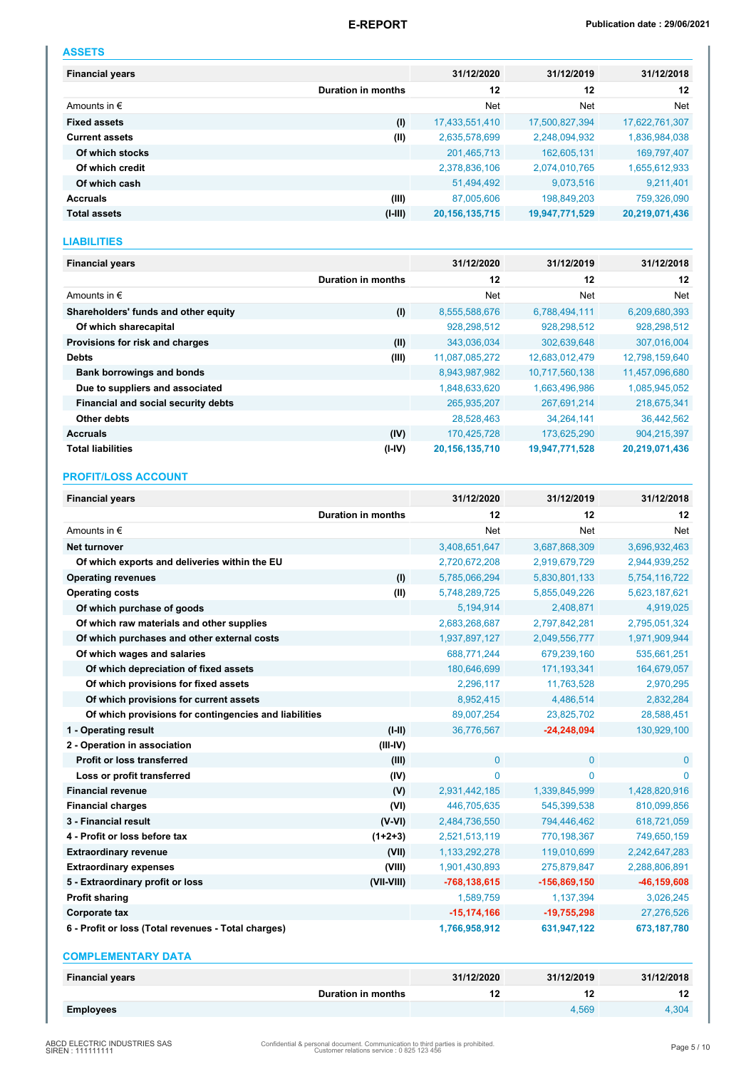| __ |  |  |
|----|--|--|

| <b>Financial years</b> |                    | 31/12/2020        | 31/12/2019     | 31/12/2018     |
|------------------------|--------------------|-------------------|----------------|----------------|
|                        | Duration in months | 12                | 12             | 12             |
| Amounts in $\epsilon$  |                    | Net               | Net            | Net            |
| <b>Fixed assets</b>    | (1)                | 17,433,551,410    | 17,500,827,394 | 17,622,761,307 |
| <b>Current assets</b>  | (II)               | 2,635,578,699     | 2,248,094,932  | 1,836,984,038  |
| Of which stocks        |                    | 201,465,713       | 162,605,131    | 169,797,407    |
| Of which credit        |                    | 2,378,836,106     | 2,074,010,765  | 1,655,612,933  |
| Of which cash          |                    | 51,494,492        | 9,073,516      | 9,211,401      |
| <b>Accruals</b>        | (III)              | 87,005,606        | 198,849,203    | 759,326,090    |
| <b>Total assets</b>    | $(I-III)$          | 20, 156, 135, 715 | 19,947,771,529 | 20,219,071,436 |

### **LIABILITIES**

| <b>Financial years</b>               |                    | 31/12/2020        | 31/12/2019     | 31/12/2018     |
|--------------------------------------|--------------------|-------------------|----------------|----------------|
|                                      | Duration in months | 12                | 12             | 12             |
| Amounts in $\epsilon$                |                    | Net               | Net            | Net            |
| Shareholders' funds and other equity | (1)                | 8,555,588,676     | 6,788,494,111  | 6,209,680,393  |
| Of which sharecapital                |                    | 928,298,512       | 928,298,512    | 928,298,512    |
| Provisions for risk and charges      | (II)               | 343,036,034       | 302,639,648    | 307,016,004    |
| <b>Debts</b>                         | (III)              | 11,087,085,272    | 12,683,012,479 | 12,798,159,640 |
| <b>Bank borrowings and bonds</b>     |                    | 8,943,987,982     | 10,717,560,138 | 11,457,096,680 |
| Due to suppliers and associated      |                    | 1,848,633,620     | 1,663,496,986  | 1,085,945,052  |
| Financial and social security debts  |                    | 265,935,207       | 267,691,214    | 218,675,341    |
| Other debts                          |                    | 28,528,463        | 34,264,141     | 36,442,562     |
| <b>Accruals</b>                      | (IV)               | 170,425,728       | 173,625,290    | 904,215,397    |
| <b>Total liabilities</b>             | $(I - IV)$         | 20, 156, 135, 710 | 19,947,771,528 | 20,219,071,436 |

### **PROFIT/LOSS ACCOUNT**

| <b>Financial years</b>                                |                    | 31/12/2020       | 31/12/2019     | 31/12/2018      |
|-------------------------------------------------------|--------------------|------------------|----------------|-----------------|
|                                                       | Duration in months | 12               | 12             | 12              |
| Amounts in $\epsilon$                                 |                    | Net              | <b>Net</b>     | Net             |
| <b>Net turnover</b>                                   |                    | 3,408,651,647    | 3,687,868,309  | 3,696,932,463   |
| Of which exports and deliveries within the EU         |                    | 2,720,672,208    | 2,919,679,729  | 2,944,939,252   |
| <b>Operating revenues</b>                             | (1)                | 5,785,066,294    | 5,830,801,133  | 5,754,116,722   |
| <b>Operating costs</b>                                | (II)               | 5,748,289,725    | 5,855,049,226  | 5,623,187,621   |
| Of which purchase of goods                            |                    | 5,194,914        | 2,408,871      | 4,919,025       |
| Of which raw materials and other supplies             |                    | 2,683,268,687    | 2,797,842,281  | 2,795,051,324   |
| Of which purchases and other external costs           |                    | 1,937,897,127    | 2,049,556,777  | 1,971,909,944   |
| Of which wages and salaries                           |                    | 688,771,244      | 679,239,160    | 535,661,251     |
| Of which depreciation of fixed assets                 |                    | 180,646,699      | 171, 193, 341  | 164,679,057     |
| Of which provisions for fixed assets                  |                    | 2,296,117        | 11,763,528     | 2,970,295       |
| Of which provisions for current assets                |                    | 8,952,415        | 4,486,514      | 2,832,284       |
| Of which provisions for contingencies and liabilities |                    | 89,007,254       | 23,825,702     | 28,588,451      |
| 1 - Operating result                                  | $(I-II)$           | 36,776,567       | $-24,248,094$  | 130,929,100     |
| 2 - Operation in association                          | $(III-IV)$         |                  |                |                 |
| <b>Profit or loss transferred</b>                     | (III)              | $\mathbf 0$      | $\mathbf{0}$   | $\mathbf{0}$    |
| Loss or profit transferred                            | (IV)               | $\mathbf{0}$     | $\mathbf{0}$   | $\Omega$        |
| <b>Financial revenue</b>                              | (V)                | 2,931,442,185    | 1,339,845,999  | 1,428,820,916   |
| <b>Financial charges</b>                              | (VI)               | 446,705,635      | 545,399,538    | 810,099,856     |
| 3 - Financial result                                  | $(V-VI)$           | 2,484,736,550    | 794,446,462    | 618,721,059     |
| 4 - Profit or loss before tax                         | $(1+2+3)$          | 2,521,513,119    | 770,198,367    | 749,650,159     |
| <b>Extraordinary revenue</b>                          | (VII)              | 1,133,292,278    | 119,010,699    | 2,242,647,283   |
| <b>Extraordinary expenses</b>                         | (VIII)             | 1,901,430,893    | 275,879,847    | 2,288,806,891   |
| 5 - Extraordinary profit or loss                      | (VII-VIII)         | $-768, 138, 615$ | $-156,869,150$ | $-46, 159, 608$ |
| <b>Profit sharing</b>                                 |                    | 1,589,759        | 1,137,394      | 3,026,245       |
| Corporate tax                                         |                    | $-15, 174, 166$  | $-19,755,298$  | 27,276,526      |
| 6 - Profit or loss (Total revenues - Total charges)   |                    | 1,766,958,912    | 631,947,122    | 673,187,780     |
| <b>COMPLEMENTARY DATA</b>                             |                    |                  |                |                 |
|                                                       |                    |                  |                |                 |

| <b>Financial years</b> | 31/12/2020 | 31/12/2019 | 31/12/2018 |
|------------------------|------------|------------|------------|
| Duration in months     |            |            |            |
| <b>Employees</b>       |            | 4.569      | 4.304      |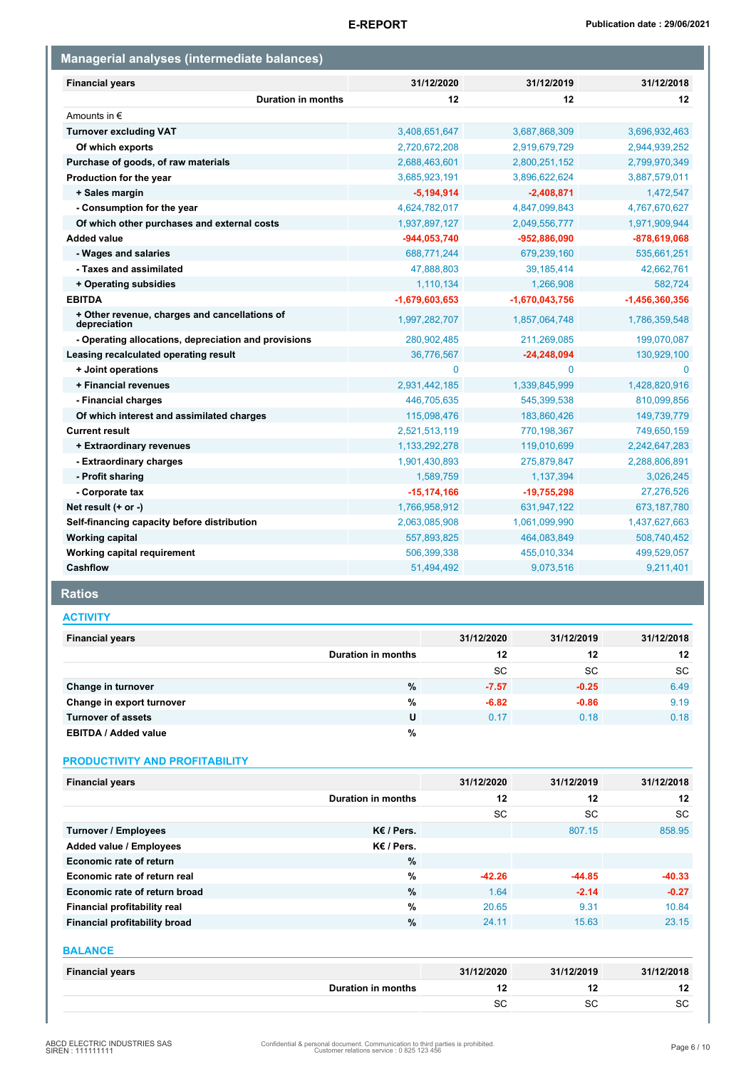| Managerial analyses (intermediate balances)                   |                  |                  |                  |  |  |
|---------------------------------------------------------------|------------------|------------------|------------------|--|--|
| <b>Financial years</b>                                        | 31/12/2020       | 31/12/2019       | 31/12/2018       |  |  |
| <b>Duration in months</b>                                     | 12               | 12               | 12               |  |  |
| Amounts in $\epsilon$                                         |                  |                  |                  |  |  |
| <b>Turnover excluding VAT</b>                                 | 3,408,651,647    | 3,687,868,309    | 3,696,932,463    |  |  |
| Of which exports                                              | 2,720,672,208    | 2,919,679,729    | 2,944,939,252    |  |  |
| Purchase of goods, of raw materials                           | 2,688,463,601    | 2,800,251,152    | 2,799,970,349    |  |  |
| Production for the year                                       | 3,685,923,191    | 3,896,622,624    | 3,887,579,011    |  |  |
| + Sales margin                                                | $-5,194,914$     | $-2,408,871$     | 1,472,547        |  |  |
| - Consumption for the year                                    | 4,624,782,017    | 4,847,099,843    | 4,767,670,627    |  |  |
| Of which other purchases and external costs                   | 1,937,897,127    | 2,049,556,777    | 1,971,909,944    |  |  |
| <b>Added value</b>                                            | -944,053,740     | -952,886,090     | $-878,619,068$   |  |  |
| - Wages and salaries                                          | 688,771,244      | 679,239,160      | 535,661,251      |  |  |
| - Taxes and assimilated                                       | 47,888,803       | 39,185,414       | 42,662,761       |  |  |
| + Operating subsidies                                         | 1,110,134        | 1,266,908        | 582,724          |  |  |
| <b>EBITDA</b>                                                 | $-1,679,603,653$ | $-1,670,043,756$ | $-1,456,360,356$ |  |  |
| + Other revenue, charges and cancellations of<br>depreciation | 1,997,282,707    | 1,857,064,748    | 1,786,359,548    |  |  |
| - Operating allocations, depreciation and provisions          | 280,902,485      | 211,269,085      | 199,070,087      |  |  |
| Leasing recalculated operating result                         | 36,776,567       | $-24,248,094$    | 130,929,100      |  |  |
| + Joint operations                                            | $\mathbf{0}$     | 0                | $\mathbf{0}$     |  |  |
| + Financial revenues                                          | 2,931,442,185    | 1,339,845,999    | 1,428,820,916    |  |  |
| - Financial charges                                           | 446,705,635      | 545,399,538      | 810,099,856      |  |  |
| Of which interest and assimilated charges                     | 115,098,476      | 183,860,426      | 149,739,779      |  |  |
| <b>Current result</b>                                         | 2,521,513,119    | 770,198,367      | 749,650,159      |  |  |
| + Extraordinary revenues                                      | 1,133,292,278    | 119,010,699      | 2,242,647,283    |  |  |
| - Extraordinary charges                                       | 1,901,430,893    | 275,879,847      | 2,288,806,891    |  |  |
| - Profit sharing                                              | 1,589,759        | 1,137,394        | 3,026,245        |  |  |
| - Corporate tax                                               | $-15, 174, 166$  | $-19,755,298$    | 27,276,526       |  |  |
| Net result (+ or -)                                           | 1,766,958,912    | 631,947,122      | 673, 187, 780    |  |  |
| Self-financing capacity before distribution                   | 2,063,085,908    | 1,061,099,990    | 1,437,627,663    |  |  |
| <b>Working capital</b>                                        | 557,893,825      | 464,083,849      | 508,740,452      |  |  |
| Working capital requirement                                   | 506,399,338      | 455,010,334      | 499,529,057      |  |  |
| Cashflow                                                      | 51,494,492       | 9,073,516        | 9,211,401        |  |  |

## **Ratios**

### **ACTIVITY**

| <b>Financial years</b>      |                    | 31/12/2020 | 31/12/2019 | 31/12/2018 |
|-----------------------------|--------------------|------------|------------|------------|
|                             | Duration in months | 12         | 12         | 12         |
|                             |                    | <b>SC</b>  | <b>SC</b>  | <b>SC</b>  |
| Change in turnover          | %                  | $-7.57$    | $-0.25$    | 6.49       |
| Change in export turnover   | %                  | $-6.82$    | $-0.86$    | 9.19       |
| <b>Turnover of assets</b>   | U                  | 0.17       | 0.18       | 0.18       |
| <b>EBITDA / Added value</b> | %                  |            |            |            |

### **PRODUCTIVITY AND PROFITABILITY**

| <b>Financial years</b>        |                    | 31/12/2020 | 31/12/2019 | 31/12/2018 |
|-------------------------------|--------------------|------------|------------|------------|
|                               | Duration in months | 12         | 12         | 12         |
|                               |                    | SC         | SC         | <b>SC</b>  |
| Turnover / Employees          | $K \in I$ Pers.    |            | 807.15     | 858.95     |
| Added value / Employees       | $K \in I$ Pers.    |            |            |            |
| Economic rate of return       | %                  |            |            |            |
| Economic rate of return real  | $\%$               | $-42.26$   | $-44.85$   | $-40.33$   |
| Economic rate of return broad | $\%$               | 1.64       | $-2.14$    | $-0.27$    |
| Financial profitability real  | $\%$               | 20.65      | 9.31       | 10.84      |
| Financial profitability broad | %                  | 24.11      | 15.63      | 23.15      |

| <b>BALANCE</b>         |            |            |            |
|------------------------|------------|------------|------------|
| <b>Financial years</b> | 31/12/2020 | 31/12/2019 | 31/12/2018 |
| Duration in months     | 12         |            | 12         |
|                        | <b>SC</b>  | SC         | SC         |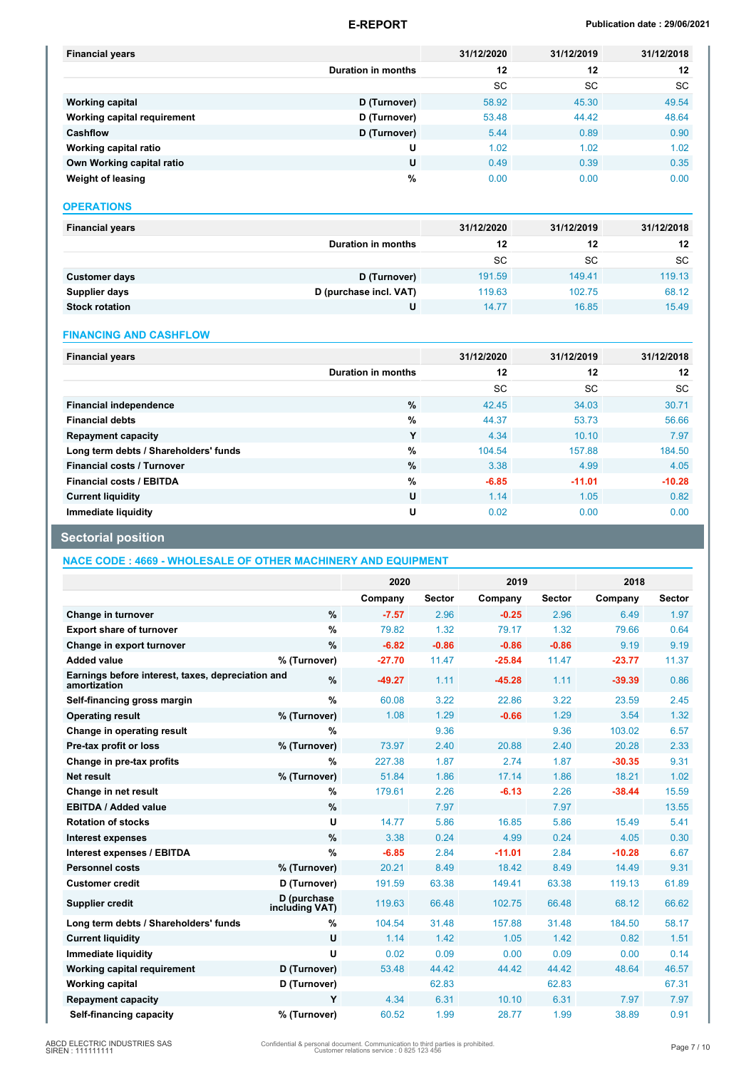### **E-REPORT Publication date : 29/06/2021**

| <b>Financial years</b>      |                           | 31/12/2020 | 31/12/2019 | 31/12/2018 |
|-----------------------------|---------------------------|------------|------------|------------|
|                             | <b>Duration in months</b> | 12         | 12         | 12         |
|                             |                           | <b>SC</b>  | SC         | <b>SC</b>  |
| <b>Working capital</b>      | D (Turnover)              | 58.92      | 45.30      | 49.54      |
| Working capital requirement | D (Turnover)              | 53.48      | 44.42      | 48.64      |
| <b>Cashflow</b>             | D (Turnover)              | 5.44       | 0.89       | 0.90       |
| Working capital ratio       | U                         | 1.02       | 1.02       | 1.02       |
| Own Working capital ratio   | U                         | 0.49       | 0.39       | 0.35       |
| Weight of leasing           | %                         | 0.00       | 0.00       | 0.00       |

#### **OPERATIONS**

| <b>Financial years</b> |                        | 31/12/2020 | 31/12/2019 | 31/12/2018 |
|------------------------|------------------------|------------|------------|------------|
|                        | Duration in months     | 12         | 12         | 12         |
|                        |                        | SC         | SC         | <b>SC</b>  |
| <b>Customer days</b>   | D (Turnover)           | 191.59     | 149.41     | 119.13     |
| Supplier days          | D (purchase incl. VAT) | 119.63     | 102.75     | 68.12      |
| <b>Stock rotation</b>  | U                      | 14.77      | 16.85      | 15.49      |

#### **FINANCING AND CASHFLOW**

| <b>Financial years</b>                |                    | 31/12/2020 | 31/12/2019 | 31/12/2018 |
|---------------------------------------|--------------------|------------|------------|------------|
|                                       | Duration in months | 12         | 12         | 12         |
|                                       |                    | <b>SC</b>  | <b>SC</b>  | <b>SC</b>  |
| <b>Financial independence</b>         | $\%$               | 42.45      | 34.03      | 30.71      |
| <b>Financial debts</b>                | $\%$               | 44.37      | 53.73      | 56.66      |
| <b>Repayment capacity</b>             | Y                  | 4.34       | 10.10      | 7.97       |
| Long term debts / Shareholders' funds | %                  | 104.54     | 157.88     | 184.50     |
| <b>Financial costs / Turnover</b>     | %                  | 3.38       | 4.99       | 4.05       |
| <b>Financial costs / EBITDA</b>       | %                  | $-6.85$    | $-11.01$   | $-10.28$   |
| <b>Current liquidity</b>              | U                  | 1.14       | 1.05       | 0.82       |
| Immediate liquidity                   | U                  | 0.02       | 0.00       | 0.00       |

# **Sectorial position**

**NACE CODE : 4669 - WHOLESALE OF OTHER MACHINERY AND EQUIPMENT**

|                                                                   |                               | 2020     |               | 2019     |               | 2018     |               |
|-------------------------------------------------------------------|-------------------------------|----------|---------------|----------|---------------|----------|---------------|
|                                                                   |                               | Company  | <b>Sector</b> | Company  | <b>Sector</b> | Company  | <b>Sector</b> |
| Change in turnover                                                | %                             | $-7.57$  | 2.96          | $-0.25$  | 2.96          | 6.49     | 1.97          |
| <b>Export share of turnover</b>                                   | %                             | 79.82    | 1.32          | 79.17    | 1.32          | 79.66    | 0.64          |
| Change in export turnover                                         | %                             | $-6.82$  | $-0.86$       | $-0.86$  | $-0.86$       | 9.19     | 9.19          |
| <b>Added value</b>                                                | % (Turnover)                  | $-27.70$ | 11.47         | $-25.84$ | 11.47         | $-23.77$ | 11.37         |
| Earnings before interest, taxes, depreciation and<br>amortization | %                             | $-49.27$ | 1.11          | $-45.28$ | 1.11          | $-39.39$ | 0.86          |
| Self-financing gross margin                                       | $\frac{9}{6}$                 | 60.08    | 3.22          | 22.86    | 3.22          | 23.59    | 2.45          |
| <b>Operating result</b>                                           | % (Turnover)                  | 1.08     | 1.29          | $-0.66$  | 1.29          | 3.54     | 1.32          |
| Change in operating result                                        | %                             |          | 9.36          |          | 9.36          | 103.02   | 6.57          |
| Pre-tax profit or loss                                            | % (Turnover)                  | 73.97    | 2.40          | 20.88    | 2.40          | 20.28    | 2.33          |
| Change in pre-tax profits                                         | %                             | 227.38   | 1.87          | 2.74     | 1.87          | $-30.35$ | 9.31          |
| Net result                                                        | % (Turnover)                  | 51.84    | 1.86          | 17.14    | 1.86          | 18.21    | 1.02          |
| Change in net result                                              | %                             | 179.61   | 2.26          | $-6.13$  | 2.26          | $-38.44$ | 15.59         |
| <b>EBITDA / Added value</b>                                       | %                             |          | 7.97          |          | 7.97          |          | 13.55         |
| <b>Rotation of stocks</b>                                         | U                             | 14.77    | 5.86          | 16.85    | 5.86          | 15.49    | 5.41          |
| <b>Interest expenses</b>                                          | $\%$                          | 3.38     | 0.24          | 4.99     | 0.24          | 4.05     | 0.30          |
| Interest expenses / EBITDA                                        | %                             | $-6.85$  | 2.84          | $-11.01$ | 2.84          | $-10.28$ | 6.67          |
| <b>Personnel costs</b>                                            | % (Turnover)                  | 20.21    | 8.49          | 18.42    | 8.49          | 14.49    | 9.31          |
| <b>Customer credit</b>                                            | D (Turnover)                  | 191.59   | 63.38         | 149.41   | 63.38         | 119.13   | 61.89         |
| <b>Supplier credit</b>                                            | D (purchase<br>including VAT) | 119.63   | 66.48         | 102.75   | 66.48         | 68.12    | 66.62         |
| Long term debts / Shareholders' funds                             | %                             | 104.54   | 31.48         | 157.88   | 31.48         | 184.50   | 58.17         |
| <b>Current liquidity</b>                                          | U                             | 1.14     | 1.42          | 1.05     | 1.42          | 0.82     | 1.51          |
| Immediate liquidity                                               | U                             | 0.02     | 0.09          | 0.00     | 0.09          | 0.00     | 0.14          |
| Working capital requirement                                       | D (Turnover)                  | 53.48    | 44.42         | 44.42    | 44.42         | 48.64    | 46.57         |
| <b>Working capital</b>                                            | D (Turnover)                  |          | 62.83         |          | 62.83         |          | 67.31         |
| <b>Repayment capacity</b>                                         | Y                             | 4.34     | 6.31          | 10.10    | 6.31          | 7.97     | 7.97          |
| Self-financing capacity                                           | % (Turnover)                  | 60.52    | 1.99          | 28.77    | 1.99          | 38.89    | 0.91          |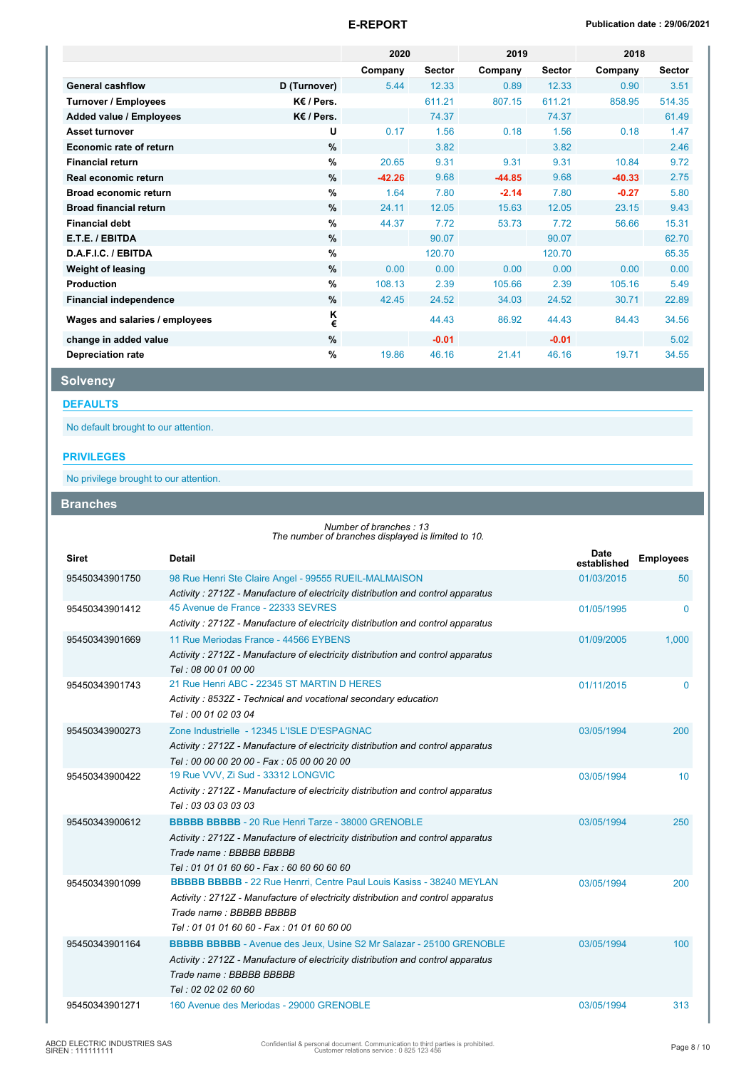|                                |                 | 2020     |               | 2019     |               | 2018     |               |  |
|--------------------------------|-----------------|----------|---------------|----------|---------------|----------|---------------|--|
|                                |                 | Company  | <b>Sector</b> | Company  | <b>Sector</b> | Company  | <b>Sector</b> |  |
| <b>General cashflow</b>        | D (Turnover)    | 5.44     | 12.33         | 0.89     | 12.33         | 0.90     | 3.51          |  |
| <b>Turnover / Employees</b>    | K€ / Pers.      |          | 611.21        | 807.15   | 611.21        | 858.95   | 514.35        |  |
| Added value / Employees        | $K \in I$ Pers. |          | 74.37         |          | 74.37         |          | 61.49         |  |
| <b>Asset turnover</b>          | U               | 0.17     | 1.56          | 0.18     | 1.56          | 0.18     | 1.47          |  |
| Economic rate of return        | %               |          | 3.82          |          | 3.82          |          | 2.46          |  |
| <b>Financial return</b>        | %               | 20.65    | 9.31          | 9.31     | 9.31          | 10.84    | 9.72          |  |
| Real economic return           | %               | $-42.26$ | 9.68          | $-44.85$ | 9.68          | $-40.33$ | 2.75          |  |
| <b>Broad economic return</b>   | %               | 1.64     | 7.80          | $-2.14$  | 7.80          | $-0.27$  | 5.80          |  |
| <b>Broad financial return</b>  | %               | 24.11    | 12.05         | 15.63    | 12.05         | 23.15    | 9.43          |  |
| <b>Financial debt</b>          | %               | 44.37    | 7.72          | 53.73    | 7.72          | 56.66    | 15.31         |  |
| E.T.E. / EBITDA                | %               |          | 90.07         |          | 90.07         |          | 62.70         |  |
| D.A.F.I.C. / EBITDA            | %               |          | 120.70        |          | 120.70        |          | 65.35         |  |
| <b>Weight of leasing</b>       | %               | 0.00     | 0.00          | 0.00     | 0.00          | 0.00     | 0.00          |  |
| Production                     | $\%$            | 108.13   | 2.39          | 105.66   | 2.39          | 105.16   | 5.49          |  |
| <b>Financial independence</b>  | %               | 42.45    | 24.52         | 34.03    | 24.52         | 30.71    | 22.89         |  |
| Wages and salaries / employees | κ<br>€          |          | 44.43         | 86.92    | 44.43         | 84.43    | 34.56         |  |
| change in added value          | $\%$            |          | $-0.01$       |          | $-0.01$       |          | 5.02          |  |
| <b>Depreciation rate</b>       | %               | 19.86    | 46.16         | 21.41    | 46.16         | 19.71    | 34.55         |  |

# **Solvency**

**DEFAULTS**

No default brought to our attention.

### **PRIVILEGES**

No privilege brought to our attention.

**Branches**

*Number of branches : 13 The number of branches displayed is limited to 10.*

| <b>Siret</b>   | <b>Detail</b>                                                                                                                                                                                                                          | <b>Date</b><br>established | <b>Employees</b> |
|----------------|----------------------------------------------------------------------------------------------------------------------------------------------------------------------------------------------------------------------------------------|----------------------------|------------------|
| 95450343901750 | 98 Rue Henri Ste Claire Angel - 99555 RUEIL-MALMAISON<br>Activity: 2712Z - Manufacture of electricity distribution and control apparatus                                                                                               | 01/03/2015                 | 50               |
| 95450343901412 | 45 Avenue de France - 22333 SEVRES<br>Activity: 2712Z - Manufacture of electricity distribution and control apparatus                                                                                                                  | 01/05/1995                 | $\Omega$         |
| 95450343901669 | 11 Rue Meriodas France - 44566 EYBENS<br>Activity: 2712Z - Manufacture of electricity distribution and control apparatus<br>Tel: 08 00 01 00 00                                                                                        | 01/09/2005                 | 1,000            |
| 95450343901743 | 21 Rue Henri ABC - 22345 ST MARTIN D HERES<br>Activity: 8532Z - Technical and vocational secondary education<br>Tel: 00 01 02 03 04                                                                                                    | 01/11/2015                 | 0                |
| 95450343900273 | Zone Industrielle - 12345 L'ISLE D'ESPAGNAC<br>Activity: 2712Z - Manufacture of electricity distribution and control apparatus<br>Tel: 00 00 00 20 00 - Fax: 05 00 00 20 00                                                            | 03/05/1994                 | 200              |
| 95450343900422 | 19 Rue VVV, Zi Sud - 33312 LONGVIC<br>Activity: 2712Z - Manufacture of electricity distribution and control apparatus<br>Tel: 03 03 03 03 03                                                                                           | 03/05/1994                 | 10               |
| 95450343900612 | <b>BBBBB BBBBB</b> - 20 Rue Henri Tarze - 38000 GRENOBLE<br>Activity: 2712Z - Manufacture of electricity distribution and control apparatus<br>Trade name: BBBBB BBBBB<br>Tel: 01 01 01 60 60 - Fax: 60 60 60 60 60                    | 03/05/1994                 | 250              |
| 95450343901099 | <b>BBBBB BBBBB</b> - 22 Rue Henrri, Centre Paul Louis Kasiss - 38240 MEYLAN<br>Activity: 2712Z - Manufacture of electricity distribution and control apparatus<br>Trade name: BBBBB BBBBB<br>Tel: 01 01 01 60 60 - Fax: 01 01 60 60 00 | 03/05/1994                 | 200              |
| 95450343901164 | <b>BBBBB BBBBB</b> - Avenue des Jeux, Usine S2 Mr Salazar - 25100 GRENOBLE<br>Activity: 2712Z - Manufacture of electricity distribution and control apparatus<br>Trade name: BBBBB BBBBB<br>Tel: 02 02 02 60 60                        | 03/05/1994                 | 100              |
| 95450343901271 | 160 Avenue des Meriodas - 29000 GRENOBLE                                                                                                                                                                                               | 03/05/1994                 | 313              |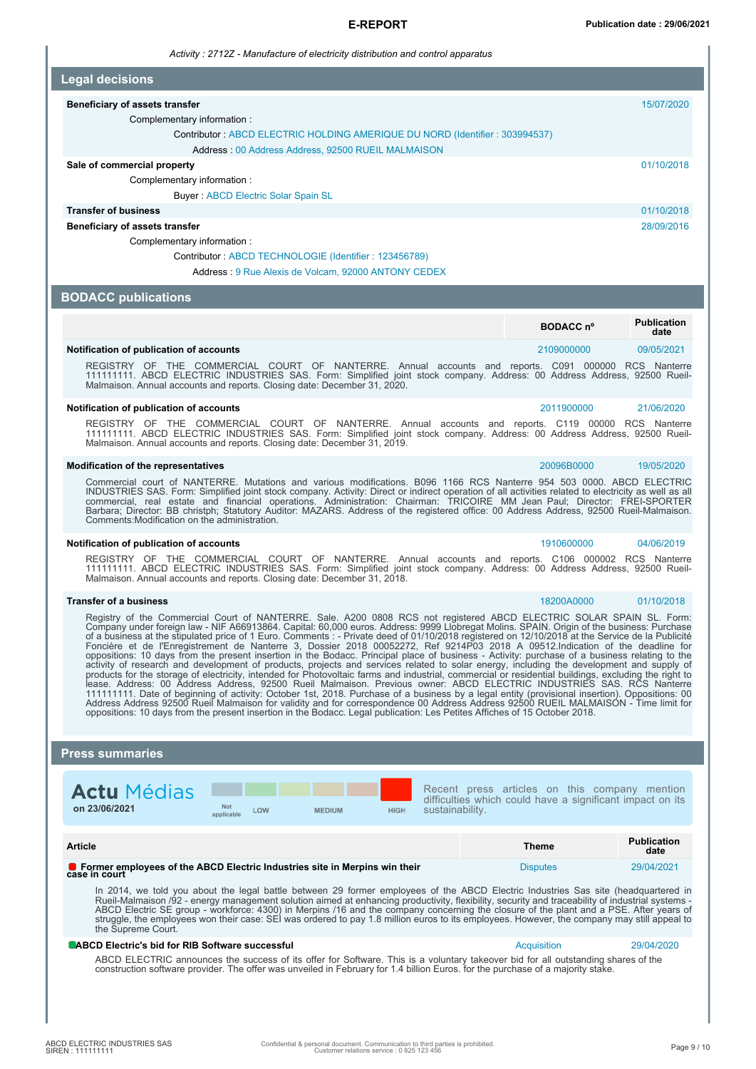#### **E-REPORT Publication date : 29/06/2021**

*Activity : 2712Z - Manufacture of electricity distribution and control apparatus*

| <b>Legal decisions</b> |  |  |  |  |  |
|------------------------|--|--|--|--|--|
|------------------------|--|--|--|--|--|

#### **Beneficiary of assets transfer 15/07/2020**

Complementary information :

Contributor : ABCD ELECTRIC HOLDING AMERIQUE DU NORD (Identifier : 303994537)

Address : 00 Address Address, 92500 RUEIL MALMAISON

#### **Sale of commercial property**  $01/10/2018$

Complementary information :

Buyer : ABCD Electric Solar Spain SL

#### **Transfer of business** 01/10/2018

**Beneficiary of assets transfer** 28/09/2016

Complementary information :

Contributor : ABCD TECHNOLOGIE (Identifier : 123456789)

Address : 9 Rue Alexis de Volcam, 92000 ANTONY CEDEX

#### **BODACC publications**

|                                         |  |                                                                                         |  |  |  | BODACC nº  |  | <b>Publication</b><br>date |
|-----------------------------------------|--|-----------------------------------------------------------------------------------------|--|--|--|------------|--|----------------------------|
| Notification of publication of accounts |  |                                                                                         |  |  |  | 2109000000 |  | 09/05/2021                 |
| REGISTRY OF                             |  | THE COMMERCIAL COURT OF NANTERRE. Annual accounts and reports. C091 000000 RCS Nanterre |  |  |  |            |  |                            |

REGISTRY OF THE COMMERCIAL COURT OF NANTERRE. Annual accounts and reports. C091 000000 RCS Nanterre 111111111. ABCD ELECTRIC INDUSTRIES SAS. Form: Simplified joint stock company. Address: 00 Address Address, 92500 Rueil-Malmaison. Annual accounts and reports. Closing date: December 31, 2020.

#### **Notification of publication of accounts** 2011900000 21/06/2020

REGISTRY OF THE COMMERCIAL COURT OF NANTERRE. Annual accounts and reports. C119 00000 RCS Nanterre<br>111111111. ABCD ELECTRIC INDUSTRIES SAS. Form: Simplified joint stock company. Address: 00 Address Address, 92500 Rueil-<br>Ma

#### **Modification of the representatives** 20096B0000 19/05/2020

Commercial court of NANTERRE. Mutations and various modifications. B096 1166 RCS Nanterre 954 503 0000. ABCD ELECTRIC INDUSTRIES SAS. Form: Simplified joint stock company. Activity: Direct or indirect operation of all activities related to electricity as well as all<br>commercial, real estate and financial operations. Administration: Comments:Modification on the administration.

#### **Notification of publication of accounts** 1910600000 04/06/2019

REGISTRY OF THE COMMERCIAL COURT OF NANTERRE. Annual accounts and reports. C106 000002 RCS Nanterre<br>111111111. ABCD ELECTRIC INDUSTRIES SAS. Form: Simplified joint stock company. Address: 00 Address Address, 92500 Rueil-<br>M

#### **Transfer of a business** 18200A0000 01/10/2018

Registry of the Commercial Court of NANTERRE. Sale. A200 0808 RCS not registered ABCD ELECTRIC SOLAR SPAIN SL. Form:<br>Company under foreign law - NIF A66913864. Capital: 60,000 euros. Address: 9999 Llobregat Molins. SPAIN o activity of research and development of products, projects and services related to solar energy, including the development and supply of<br>products for the storage of electricity, intended for Photovoltaic farms and industri

#### **Press summaries**

| <b>Actu</b> Médias |                          |     |               |      |
|--------------------|--------------------------|-----|---------------|------|
| on 23/06/2021      | <b>Not</b><br>applicable | LOW | <b>MEDIUM</b> | HIGH |

Recent press articles on this company mention difficulties which could have a significant impact on its sustainability.

| Article                                                                                              | Theme           | <b>Publication</b><br>date |
|------------------------------------------------------------------------------------------------------|-----------------|----------------------------|
| <b>O</b> Former employees of the ABCD Electric Industries site in Merpins win their<br>case in court | <b>Disputes</b> | 29/04/2021                 |

In 2014, we told you about the legal battle between 29 former employees of the ABCD Electric Industries Sas site (headquartered in<br>Rueil-Malmaison /92 - energy management solution aimed at enhancing productivity, flexibili the Supreme Court.

#### **ABCD Electric's bid for RIB Software successful** Acquisition 29/04/2020 **Acquisition** 29/04/2020

ABCD ELECTRIC announces the success of its offer for Software. This is a voluntary takeover bid for all outstanding shares of the<br>construction software provider. The offer was unveiled in February for 1.4 billion Euros. fo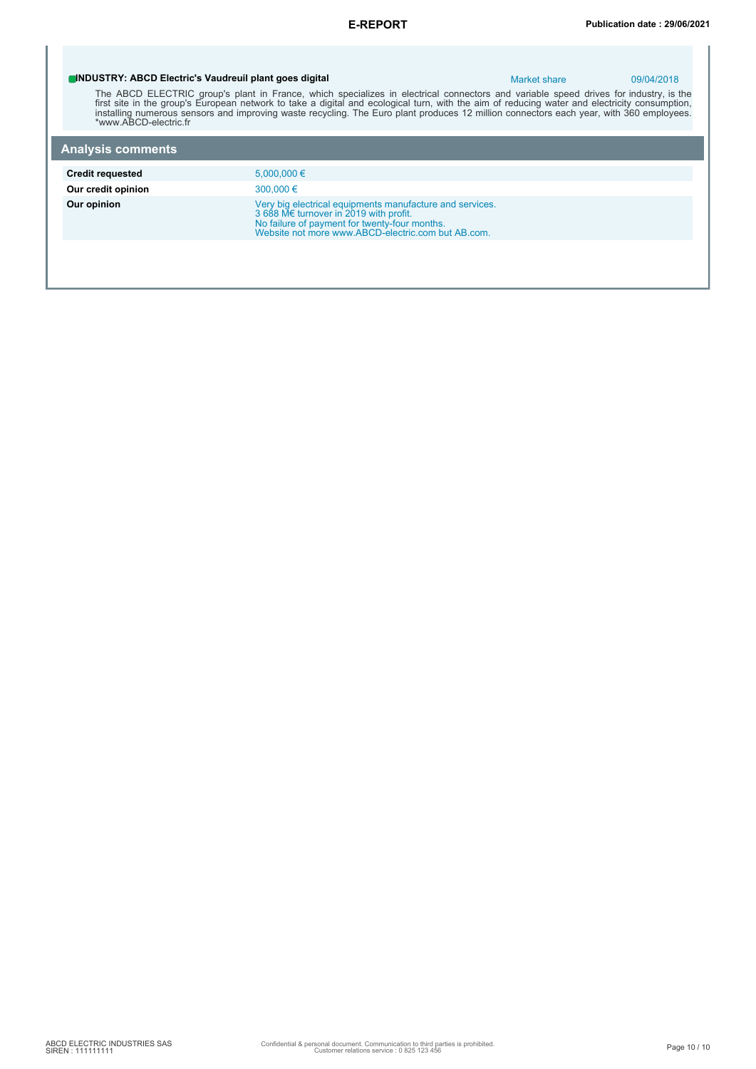# **INDUSTRY: ABCD Electric's Vaudreuil plant goes digital** Market share Market share 09/04/2018 The ABCD ELECTRIC group's plant in France, which specializes in electrical connectors and variable speed drives for industry, is the<br>first site in the group's European network to take a digital and ecological turn, with th **Analysis comments Credit requested** 5,000,000 € **Our credit opinion** 300,000 € **Our opinion**<br>
Very big electrical equipments manufacture and services.<br>
3 688 Me turnover in 2019 with profit.<br>
No failure of payment for twenty-four months.<br>
Website not more www.ABCD-electric.com but AB.com.